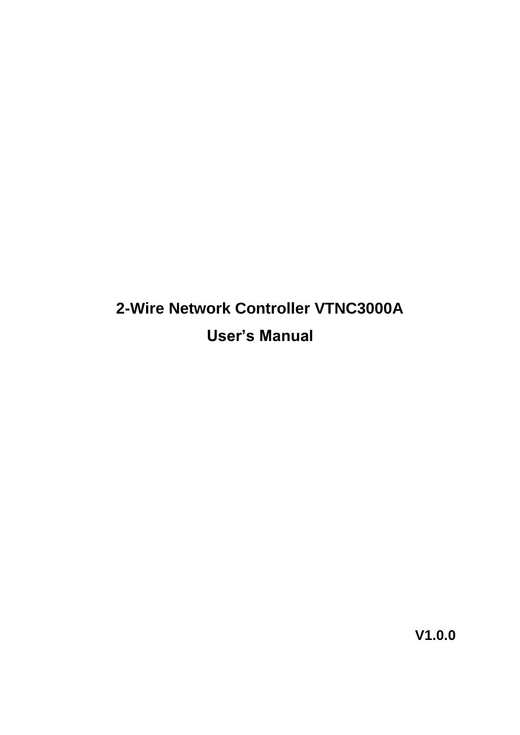# **2-Wire Network Controller VTNC3000A User's Manual**

**V1.0.0**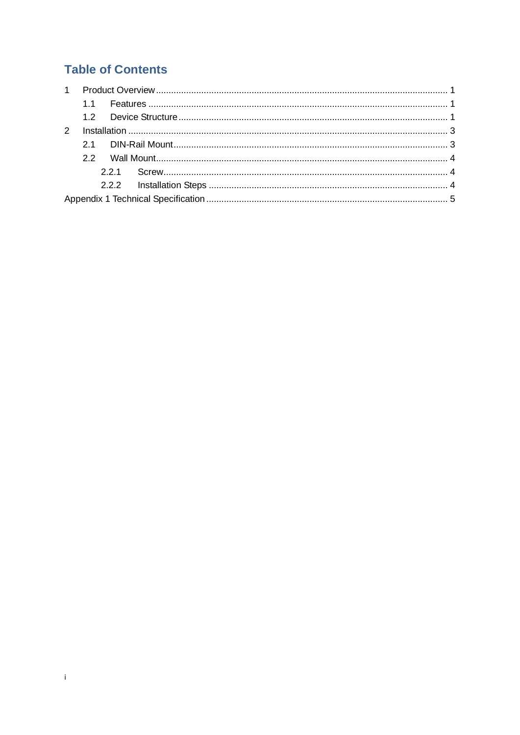### **Table of Contents**

 $\mathbf{I}$  .

| $\mathcal{P}$ |  |  |  |  |  |
|---------------|--|--|--|--|--|
|               |  |  |  |  |  |
|               |  |  |  |  |  |
|               |  |  |  |  |  |
|               |  |  |  |  |  |
|               |  |  |  |  |  |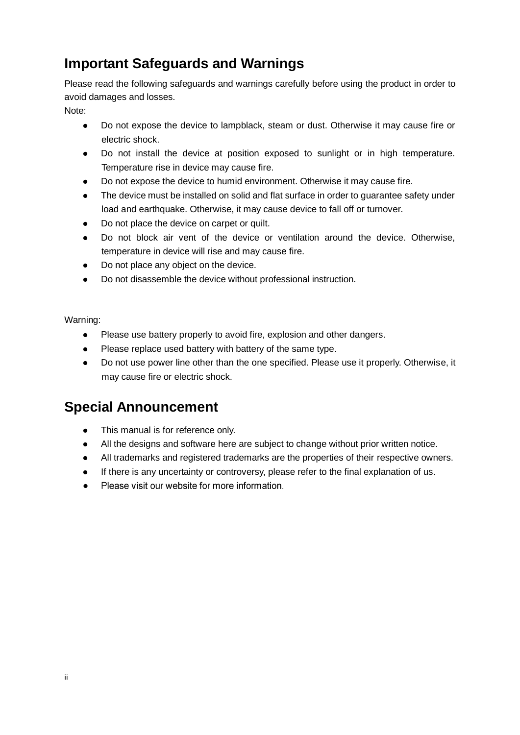### **Important Safeguards and Warnings**

Please read the following safeguards and warnings carefully before using the product in order to avoid damages and losses.

Note:

- Do not expose the device to lampblack, steam or dust. Otherwise it may cause fire or electric shock.
- Do not install the device at position exposed to sunlight or in high temperature. Temperature rise in device may cause fire.
- Do not expose the device to humid environment. Otherwise it may cause fire.
- The device must be installed on solid and flat surface in order to guarantee safety under load and earthquake. Otherwise, it may cause device to fall off or turnover.
- Do not place the device on carpet or quilt.
- Do not block air vent of the device or ventilation around the device. Otherwise, temperature in device will rise and may cause fire.
- Do not place any object on the device.
- Do not disassemble the device without professional instruction.

Warning:

- Please use battery properly to avoid fire, explosion and other dangers.
- Please replace used battery with battery of the same type.
- Do not use power line other than the one specified. Please use it properly. Otherwise, it may cause fire or electric shock.

### **Special Announcement**

- This manual is for reference only.
- All the designs and software here are subject to change without prior written notice.
- All trademarks and registered trademarks are the properties of their respective owners.
- If there is any uncertainty or controversy, please refer to the final explanation of us.
- Please visit our website for more information  $\bullet$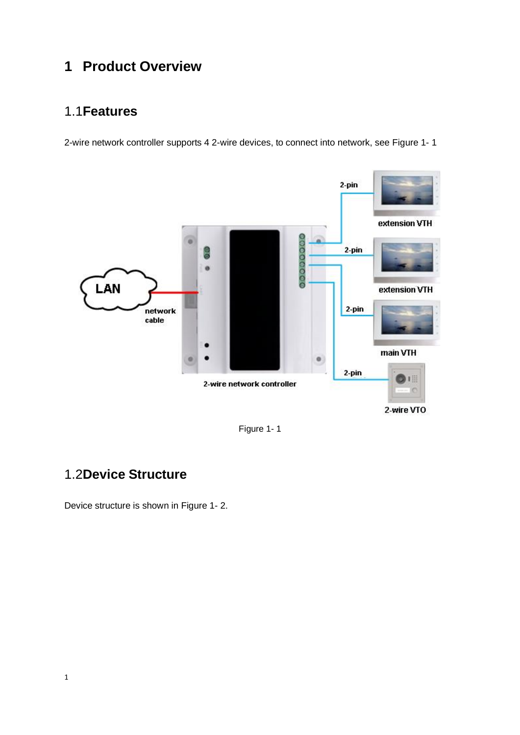### <span id="page-3-0"></span>**1 Product Overview**

#### <span id="page-3-1"></span>1.1**Features**

2-wire network controller supports 4 2-wire devices, to connect into network, see [Figure 1-](#page-3-3) 1



Figure 1- 1

### <span id="page-3-3"></span><span id="page-3-2"></span>1.2**Device Structure**

Device structure is shown in [Figure 1-](#page-4-0) 2.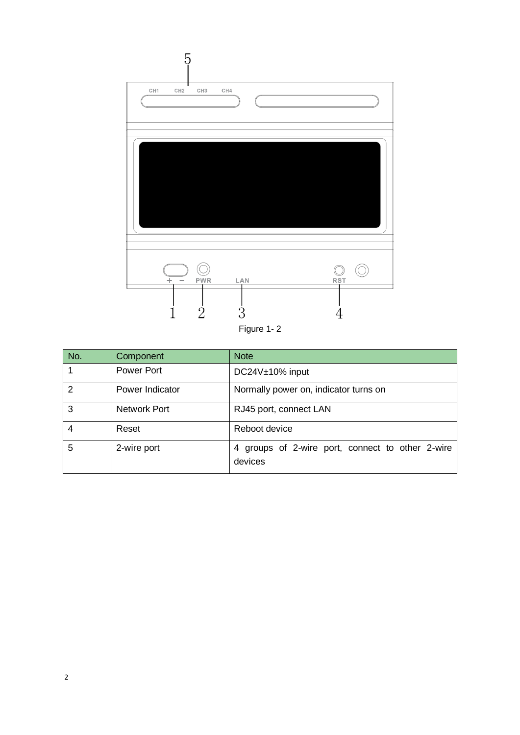

<span id="page-4-0"></span>

| No. | Component         | <b>Note</b>                                                 |
|-----|-------------------|-------------------------------------------------------------|
|     | <b>Power Port</b> | DC24V±10% input                                             |
| 2   | Power Indicator   | Normally power on, indicator turns on                       |
| 3   | Network Port      | RJ45 port, connect LAN                                      |
| 4   | Reset             | Reboot device                                               |
| 5   | 2-wire port       | 4 groups of 2-wire port, connect to other 2-wire<br>devices |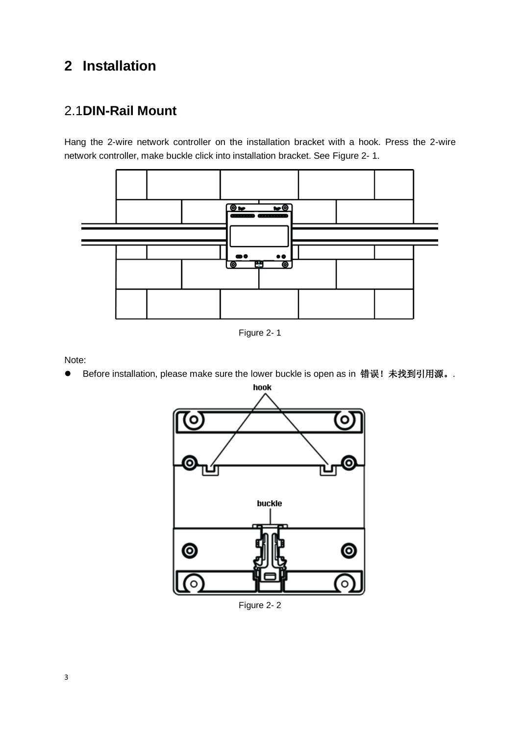## <span id="page-5-0"></span>**2 Installation**

### <span id="page-5-1"></span>2.1**DIN-Rail Mount**

Hang the 2-wire network controller on the installation bracket with a hook. Press the 2-wire network controller, make buckle click into installation bracket. See [Figure 2-](#page-5-2) 1.



Figure 2- 1

<span id="page-5-2"></span>Note:

● Before installation, please make sure the lower buckle is open as in 错误! 未找到引用源。.



Figure 2- 2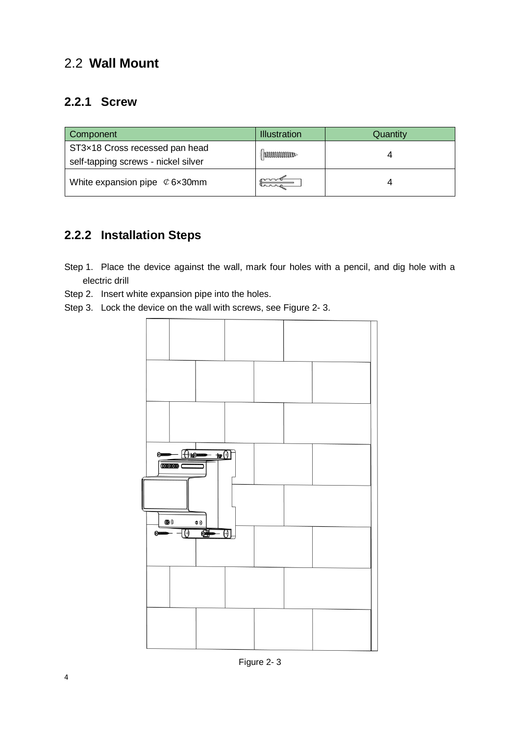#### <span id="page-6-0"></span>2.2 **Wall Mount**

#### <span id="page-6-1"></span>**2.2.1 Screw**

| Component                                                             | <b>Illustration</b>  | Quantity |
|-----------------------------------------------------------------------|----------------------|----------|
| ST3×18 Cross recessed pan head<br>self-tapping screws - nickel silver | <b>MUMMMTD</b>       |          |
| White expansion pipe $\mathcal{C}$ 6x30mm                             | pover<br><u>Lana</u> |          |

#### <span id="page-6-2"></span>**2.2.2 Installation Steps**

- Step 1. Place the device against the wall, mark four holes with a pencil, and dig hole with a electric drill
- Step 2. Insert white expansion pipe into the holes.
- Step 3. Lock the device on the wall with screws, see [Figure 2-](#page-6-3) 3.

<span id="page-6-3"></span>